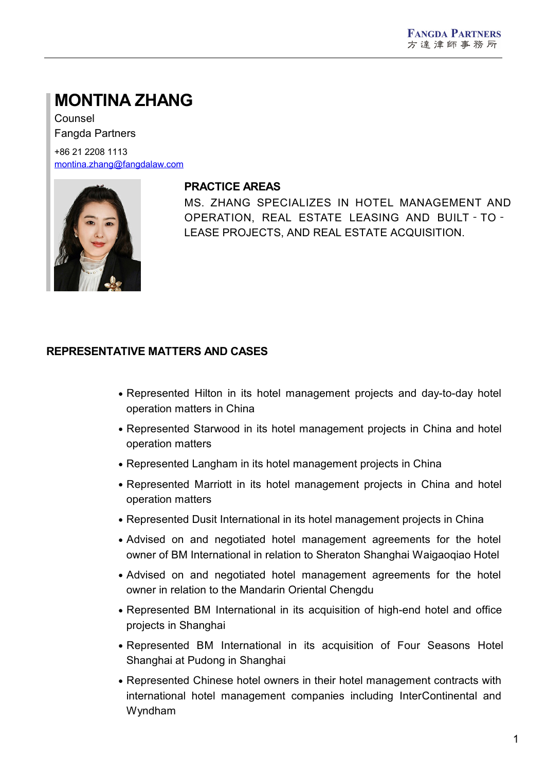# **MONTINA ZHANG**

Counsel Fangda Partners

+86 21 2208 1113 [montina.zhang@fangdalaw.com](mailto:montina.zhang@fangdalaw.com)



## **PRACTICE AREAS**

MS. ZHANG SPECIALIZES IN HOTEL MANAGEMENT AND OPERATION, REAL ESTATE LEASING AND BUILT‐TO‐ LEASE PROJECTS, AND REAL ESTATE ACQUISITION.

## **REPRESENTATIVE MATTERS AND CASES**

- Represented Hilton in its hotel management projects and day-to-day hotel operation matters in China
- Represented Starwood in its hotel management projects in China and hotel operation matters
- Represented Langham in its hotel management projects in China
- Represented Marriott in its hotel management projects in China and hotel operation matters
- Represented Dusit International in its hotel management projects in China
- Advised on and negotiated hotel management agreements for the hotel owner of BM International in relation to Sheraton Shanghai Waigaoqiao Hotel
- Advised on and negotiated hotel management agreements for the hotel owner in relation to the Mandarin Oriental Chengdu
- Represented BM International in its acquisition of high-end hotel and office projects in Shanghai
- Represented BM International in its acquisition of Four Seasons Hotel Shanghai at Pudong in Shanghai
- Represented Chinese hotel owners in their hotel management contracts with international hotel management companies including InterContinental and Wyndham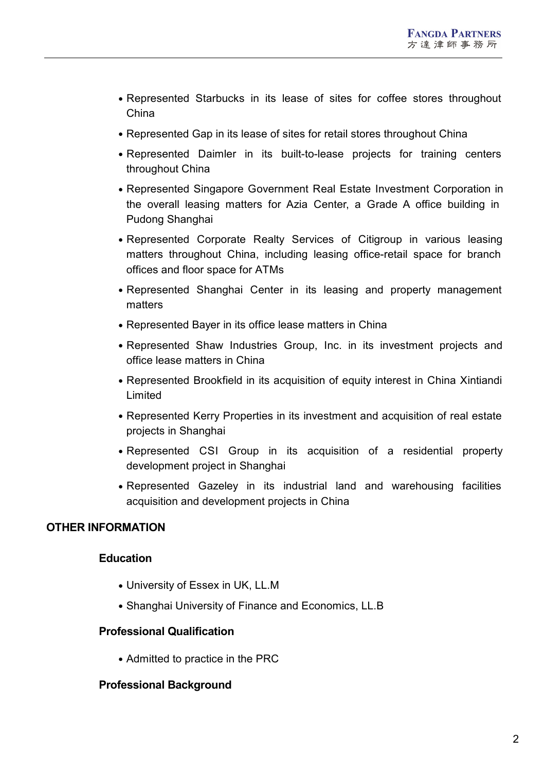- Represented Starbucks in its lease of sites for coffee stores throughout China
- Represented Gap in its lease of sites for retail stores throughout China
- Represented Daimler in its built-to-lease projects for training centers throughout China
- Represented Singapore Government Real Estate Investment Corporation in the overall leasing matters for Azia Center, a Grade A office building in Pudong Shanghai
- Represented Corporate Realty Services of Citigroup in various leasing matters throughout China, including leasing office-retail space for branch offices and floor space for ATMs
- Represented Shanghai Center in its leasing and property management matters
- Represented Bayer in its office lease matters in China
- Represented Shaw Industries Group, Inc. in its investment projects and office lease matters in China
- Represented Brookfield in its acquisition of equity interest in China Xintiandi Limited
- Represented Kerry Properties in its investment and acquisition of real estate projects in Shanghai
- Represented CSI Group in its acquisition of a residential property development project in Shanghai
- Represented Gazeley in its industrial land and warehousing facilities acquisition and development projects in China

## **OTHER INFORMATION**

## **Education**

- University of Essex in UK, LL.M
- Shanghai University of Finance and Economics, LL.B

## **Professional Qualification**

• Admitted to practice in the PRC

## **Professional Background**